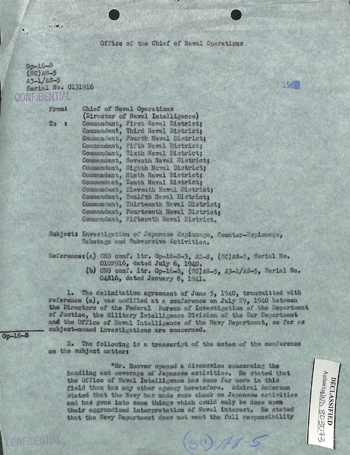Office of the Chief of Naval Operations

 $0p-16-8$  $(80)$ A8-5  $A3 - 1/13 - 5$ Serial No. 0131916 **CONFIDENTIAL** 

 $\overline{u}$  and  $\overline{u}$ 

Fromt

 $T<sub>0</sub>$ 79.9

Chief of Naval Operations (Director of Naval Intelligence) Commandant, First Naval District; Commandant, Third Naval District; Commandant, Fourth Naval District; Commandant, Fifth Naval District: Commandant, Sixth Naval District; Commandant, Seventh Naval District: Commandant, Mighth Naval District; Commandant, Hinth Naval District; Commandant, Tenth Naval District; Commundant, Eleventh Naval District; Commandant, Twelfth Naval District: Commundant, Thirteenth Naval District; Commandant, Fourteenth Naval District: Commundant, Fifteenth Maval District.

Subject: Investigation of Japanese Espionage, Counter-Espionago, Sabotage and Subversive Activities.

Reference: (a) CNO conf. ltr. Op-16-B-3. A2-8. (SC)A8-5. Serial No. 0102916, dated July 6, 1940.

> (b) CNO conf. ltr. Op-16-B, (SC)A8-5, A3-1/A3-5, Serial No. 04616, dated January S. 1941.

1. The delimitation agreement of June 5, 1940, transmitted with reference (a), was modified at a conference on July 29, 1940 between the Directors of the Federal Bureau of Investigation of the Department of Justice, the Military Intelligence Division of the War Department and the Office of Naval Intelligence of the Navy Department, so far as subject-named investigations are concerned.

 $Op - 16 - B$ 

CONFIDENTIAL

2. The following is a transcript of the notes of the conference on the subject matter:

"Mr. Hoover opened a discussion concerning the handling and coverage of Japanese activities. He stated that the Office of Naval Intelligence has done far more in this field than has any other agency heretofore. Admiral Anderson stated that the Navy has made some check on Japanese activities and has gone into some things which could only be done upon their aggrandized interpretation of Naval interest. He stated that the Navy Department does not went the full responsibility

 $(50)$  Hs 5

AuthorityMID 803073 DECLASSIFIED

**AT ON**